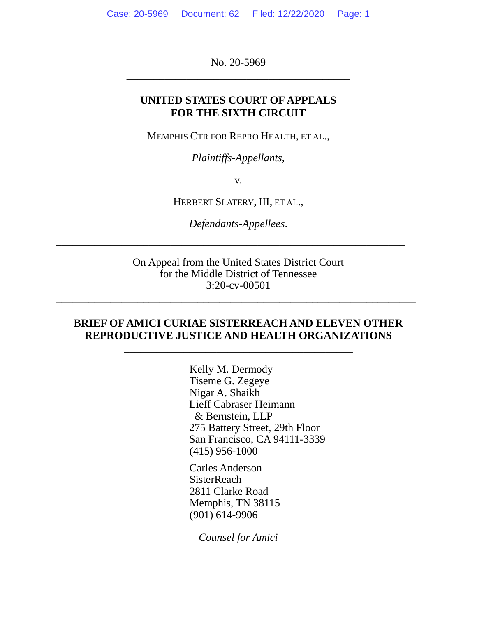No. 20-5969 \_\_\_\_\_\_\_\_\_\_\_\_\_\_\_\_\_\_\_\_\_\_\_\_\_\_\_\_\_\_\_\_\_\_\_\_\_\_\_\_\_

### **UNITED STATES COURT OF APPEALS FOR THE SIXTH CIRCUIT**

MEMPHIS CTR FOR REPRO HEALTH, ET AL.,

*Plaintiffs-Appellants*,

v.

HERBERT SLATERY, III, ET AL.,

*Defendants-Appellees*.

\_\_\_\_\_\_\_\_\_\_\_\_\_\_\_\_\_\_\_\_\_\_\_\_\_\_\_\_\_\_\_\_\_\_\_\_\_\_\_\_\_\_\_\_\_\_\_\_\_\_\_\_\_\_\_\_\_\_\_\_\_\_\_\_

On Appeal from the United States District Court for the Middle District of Tennessee 3:20-cv-00501

\_\_\_\_\_\_\_\_\_\_\_\_\_\_\_\_\_\_\_\_\_\_\_\_\_\_\_\_\_\_\_\_\_\_\_\_\_\_\_\_\_\_\_\_\_\_\_\_\_\_\_\_\_\_\_\_\_\_\_\_\_\_\_\_\_\_

## **BRIEF OF AMICI CURIAE SISTERREACH AND ELEVEN OTHER REPRODUCTIVE JUSTICE AND HEALTH ORGANIZATIONS**

\_\_\_\_\_\_\_\_\_\_\_\_\_\_\_\_\_\_\_\_\_\_\_\_\_\_\_\_\_\_\_\_\_\_\_\_\_\_\_\_\_\_

Kelly M. Dermody Tiseme G. Zegeye Nigar A. Shaikh Lieff Cabraser Heimann & Bernstein, LLP 275 Battery Street, 29th Floor San Francisco, CA 94111-3339 (415) 956-1000

Carles Anderson **SisterReach** 2811 Clarke Road Memphis, TN 38115 (901) 614-9906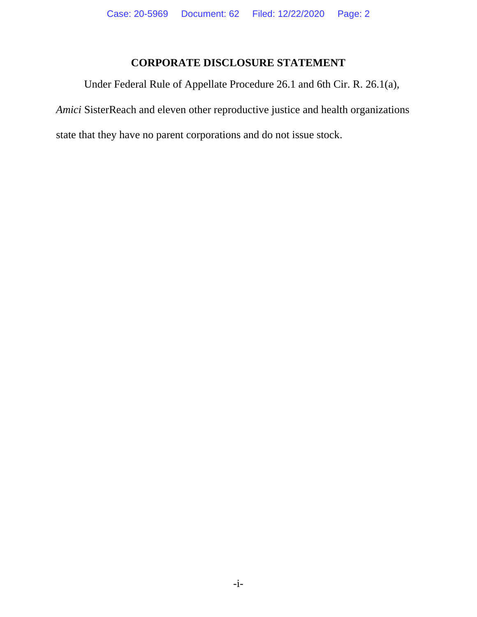## **CORPORATE DISCLOSURE STATEMENT**

Under Federal Rule of Appellate Procedure 26.1 and 6th Cir. R. 26.1(a),

*Amici* SisterReach and eleven other reproductive justice and health organizations

state that they have no parent corporations and do not issue stock.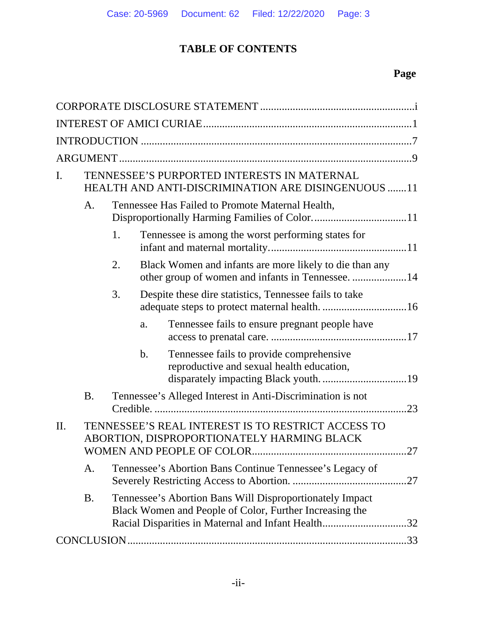# **TABLE OF CONTENTS**

# **Page**

| I.  |                |    |    | TENNESSEE'S PURPORTED INTERESTS IN MATERNAL<br>HEALTH AND ANTI-DISCRIMINATION ARE DISINGENUOUS 11                                                                         |    |
|-----|----------------|----|----|---------------------------------------------------------------------------------------------------------------------------------------------------------------------------|----|
|     | A <sub>1</sub> |    |    | Tennessee Has Failed to Promote Maternal Health,                                                                                                                          |    |
|     |                | 1. |    | Tennessee is among the worst performing states for                                                                                                                        |    |
|     |                | 2. |    | Black Women and infants are more likely to die than any<br>other group of women and infants in Tennessee. 14                                                              |    |
|     |                | 3. |    | Despite these dire statistics, Tennessee fails to take                                                                                                                    |    |
|     |                |    | a. | Tennessee fails to ensure pregnant people have                                                                                                                            |    |
|     |                |    | b. | Tennessee fails to provide comprehensive<br>reproductive and sexual health education,                                                                                     |    |
|     | <b>B.</b>      |    |    | Tennessee's Alleged Interest in Anti-Discrimination is not                                                                                                                | 23 |
| II. |                |    |    | TENNESSEE'S REAL INTEREST IS TO RESTRICT ACCESS TO<br>ABORTION, DISPROPORTIONATELY HARMING BLACK                                                                          | 27 |
|     | A.             |    |    | Tennessee's Abortion Bans Continue Tennessee's Legacy of                                                                                                                  |    |
|     | <b>B.</b>      |    |    | Tennessee's Abortion Bans Will Disproportionately Impact<br>Black Women and People of Color, Further Increasing the<br>Racial Disparities in Maternal and Infant Health32 |    |
|     |                |    |    |                                                                                                                                                                           |    |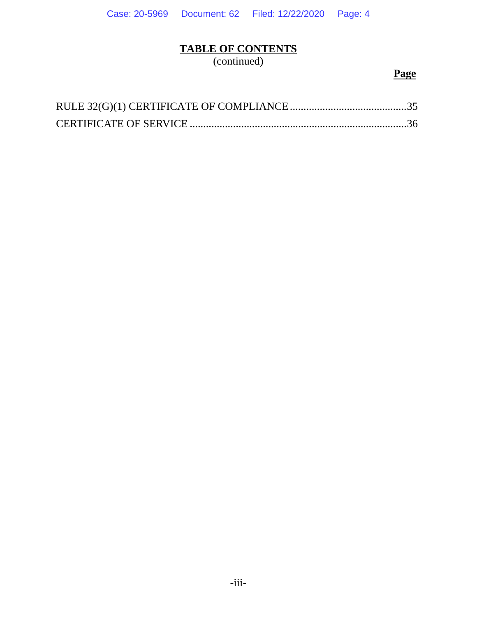## **TABLE OF CONTENTS**

(continued)

## **Page**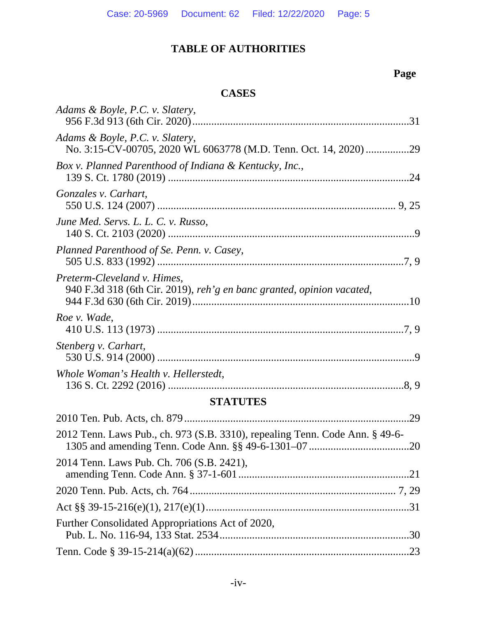# **Page**

## **CASES**

| Adams & Boyle, P.C. v. Slatery,                                                                      |
|------------------------------------------------------------------------------------------------------|
| Adams & Boyle, P.C. v. Slatery,<br>No. 3:15-CV-00705, 2020 WL 6063778 (M.D. Tenn. Oct. 14, 2020) 29  |
| Box v. Planned Parenthood of Indiana & Kentucky, Inc.,                                               |
| Gonzales v. Carhart,                                                                                 |
| June Med. Servs. L. L. C. v. Russo,                                                                  |
| Planned Parenthood of Se. Penn. v. Casey,                                                            |
| Preterm-Cleveland v. Himes,<br>940 F.3d 318 (6th Cir. 2019), reh'g en banc granted, opinion vacated, |
| Roe v. Wade,                                                                                         |
| Stenberg v. Carhart,                                                                                 |
| Whole Woman's Health v. Hellerstedt,                                                                 |
| <b>STATUTES</b>                                                                                      |
| .29                                                                                                  |
| 2012 Tenn. Laws Pub., ch. 973 (S.B. 3310), repealing Tenn. Code Ann. § 49-6-                         |
| 2014 Tenn. Laws Pub. Ch. 706 (S.B. 2421),                                                            |
|                                                                                                      |
|                                                                                                      |
| Further Consolidated Appropriations Act of 2020,                                                     |
|                                                                                                      |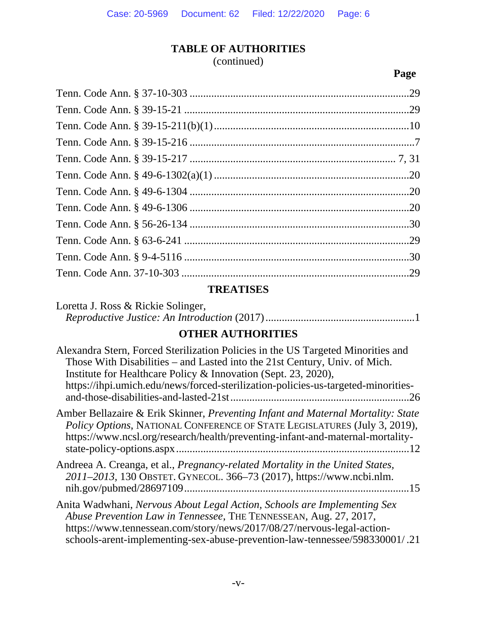(continued)

**Page**

## **TREATISES**

| Loretta J. Ross & Rickie Solinger, |  |
|------------------------------------|--|
|                                    |  |

## **OTHER AUTHORITIES**

| Alexandra Stern, Forced Sterilization Policies in the US Targeted Minorities and<br>Those With Disabilities – and Lasted into the 21st Century, Univ. of Mich.<br>Institute for Healthcare Policy & Innovation (Sept. 23, 2020),<br>https://ihpi.umich.edu/news/forced-sterilization-policies-us-targeted-minorities-<br>.26 |
|------------------------------------------------------------------------------------------------------------------------------------------------------------------------------------------------------------------------------------------------------------------------------------------------------------------------------|
| Amber Bellazaire & Erik Skinner, Preventing Infant and Maternal Mortality: State<br>Policy Options, NATIONAL CONFERENCE OF STATE LEGISLATURES (July 3, 2019),<br>https://www.ncsl.org/research/health/preventing-infant-and-maternal-mortality-                                                                              |
| Andreea A. Creanga, et al., Pregnancy-related Mortality in the United States,<br>2011-2013, 130 OBSTET. GYNECOL. 366-73 (2017), https://www.ncbi.nlm.<br>.15                                                                                                                                                                 |
| Anita Wadwhani, Nervous About Legal Action, Schools are Implementing Sex<br>Abuse Prevention Law in Tennessee, THE TENNESSEAN, Aug. 27, 2017,<br>https://www.tennessean.com/story/news/2017/08/27/nervous-legal-action-<br>schools-arent-implementing-sex-abuse-prevention-law-tennessee/598330001/.21                       |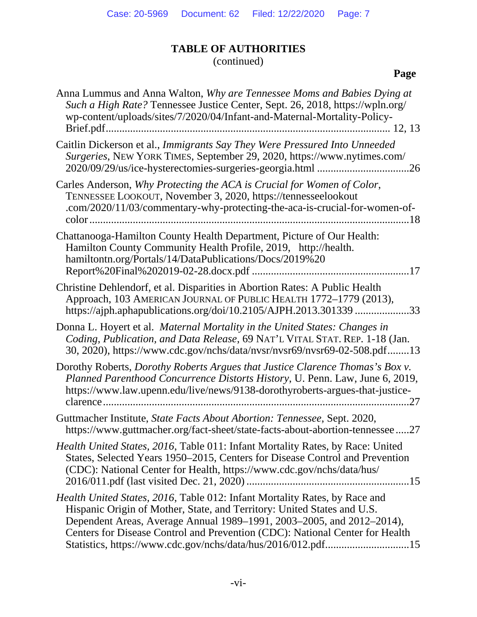(continued)

# **Page**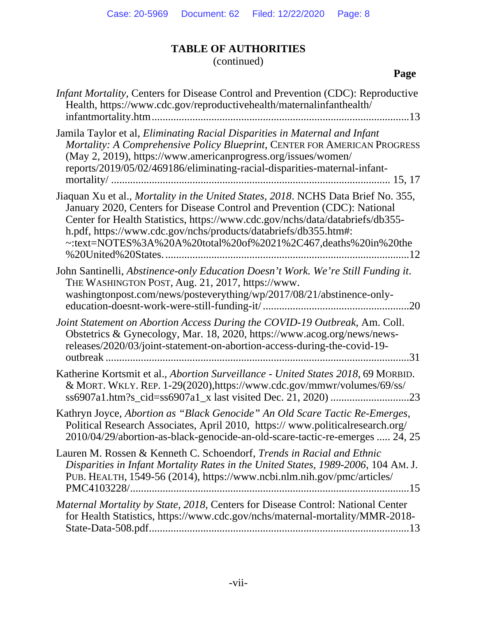(continued)

| <i>Infant Mortality, Centers for Disease Control and Prevention (CDC): Reproductive</i><br>Health, https://www.cdc.gov/reproductivehealth/maternalinfanthealth/                                                                                                                                                                                                                          |
|------------------------------------------------------------------------------------------------------------------------------------------------------------------------------------------------------------------------------------------------------------------------------------------------------------------------------------------------------------------------------------------|
| Jamila Taylor et al, Eliminating Racial Disparities in Maternal and Infant<br>Mortality: A Comprehensive Policy Blueprint, CENTER FOR AMERICAN PROGRESS<br>(May 2, 2019), https://www.americanprogress.org/issues/women/<br>reports/2019/05/02/469186/eliminating-racial-disparities-maternal-infant-                                                                                    |
| Jiaquan Xu et al., Mortality in the United States, 2018. NCHS Data Brief No. 355,<br>January 2020, Centers for Disease Control and Prevention (CDC): National<br>Center for Health Statistics, https://www.cdc.gov/nchs/data/databriefs/db355-<br>h.pdf, https://www.cdc.gov/nchs/products/databriefs/db355.htm#:<br>~:text=NOTES%3A%20A%20total%20of%2021%2C467,deaths%20in%20the<br>12 |
| John Santinelli, Abstinence-only Education Doesn't Work. We're Still Funding it.<br>THE WASHINGTON POST, Aug. 21, 2017, https://www.<br>washingtonpost.com/news/posteverything/wp/2017/08/21/abstinence-only-                                                                                                                                                                            |
| Joint Statement on Abortion Access During the COVID-19 Outbreak, Am. Coll.<br>Obstetrics & Gynecology, Mar. 18, 2020, https://www.acog.org/news/news-<br>releases/2020/03/joint-statement-on-abortion-access-during-the-covid-19-<br>.31                                                                                                                                                 |
| Katherine Kortsmit et al., Abortion Surveillance - United States 2018, 69 MORBID.<br>& MORT. WKLY. REP. 1-29(2020), https://www.cdc.gov/mmwr/volumes/69/ss/                                                                                                                                                                                                                              |
| Kathryn Joyce, Abortion as "Black Genocide" An Old Scare Tactic Re-Emerges,<br>Political Research Associates, April 2010, https://www.politicalresearch.org/<br>2010/04/29/abortion-as-black-genocide-an-old-scare-tactic-re-emerges  24, 25                                                                                                                                             |
| Lauren M. Rossen & Kenneth C. Schoendorf, Trends in Racial and Ethnic<br>Disparities in Infant Mortality Rates in the United States, 1989-2006, 104 AM. J.<br>PUB. HEALTH, 1549-56 (2014), https://www.ncbi.nlm.nih.gov/pmc/articles/                                                                                                                                                    |
| Maternal Mortality by State, 2018, Centers for Disease Control: National Center<br>for Health Statistics, https://www.cdc.gov/nchs/maternal-mortality/MMR-2018-                                                                                                                                                                                                                          |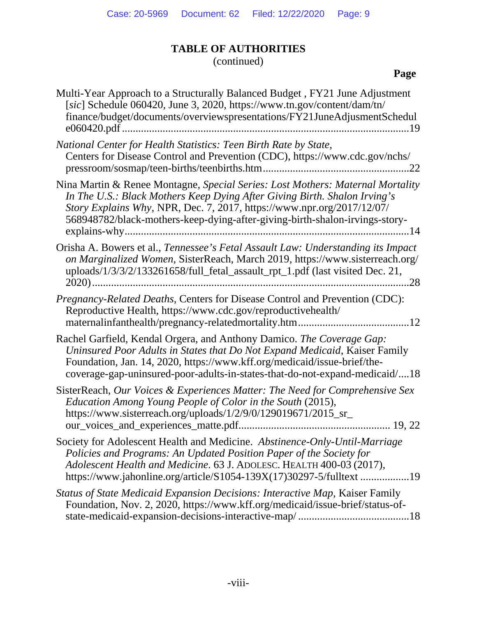(continued)

| Multi-Year Approach to a Structurally Balanced Budget, FY21 June Adjustment<br>[sic] Schedule 060420, June 3, 2020, https://www.tn.gov/content/dam/tn/<br>finance/budget/documents/overviewspresentations/FY21JuneAdjusmentSchedul<br>…19                                                                            |
|----------------------------------------------------------------------------------------------------------------------------------------------------------------------------------------------------------------------------------------------------------------------------------------------------------------------|
| National Center for Health Statistics: Teen Birth Rate by State,<br>Centers for Disease Control and Prevention (CDC), https://www.cdc.gov/nchs/<br>22                                                                                                                                                                |
| Nina Martin & Renee Montagne, Special Series: Lost Mothers: Maternal Mortality<br>In The U.S.: Black Mothers Keep Dying After Giving Birth. Shalon Irving's<br>Story Explains Why, NPR, Dec. 7, 2017, https://www.npr.org/2017/12/07/<br>568948782/black-mothers-keep-dying-after-giving-birth-shalon-irvings-story- |
| Orisha A. Bowers et al., Tennessee's Fetal Assault Law: Understanding its Impact<br>on Marginalized Women, SisterReach, March 2019, https://www.sisterreach.org/<br>uploads/1/3/3/2/133261658/full_fetal_assault_rpt_1.pdf (last visited Dec. 21,<br>$2020$ )<br>28                                                  |
| Pregnancy-Related Deaths, Centers for Disease Control and Prevention (CDC):<br>Reproductive Health, https://www.cdc.gov/reproductivehealth/                                                                                                                                                                          |
| Rachel Garfield, Kendal Orgera, and Anthony Damico. The Coverage Gap:<br>Uninsured Poor Adults in States that Do Not Expand Medicaid, Kaiser Family<br>Foundation, Jan. 14, 2020, https://www.kff.org/medicaid/issue-brief/the-<br>coverage-gap-uninsured-poor-adults-in-states-that-do-not-expand-medicaid/18       |
| SisterReach, Our Voices & Experiences Matter: The Need for Comprehensive Sex<br>Education Among Young People of Color in the South (2015),<br>https://www.sisterreach.org/uploads/1/2/9/0/129019671/2015_sr_                                                                                                         |
| Society for Adolescent Health and Medicine. Abstinence-Only-Until-Marriage<br>Policies and Programs: An Updated Position Paper of the Society for<br>Adolescent Health and Medicine. 63 J. ADOLESC. HEALTH 400-03 (2017),<br>https://www.jahonline.org/article/S1054-139X(17)30297-5/fulltext 19                     |
| Status of State Medicaid Expansion Decisions: Interactive Map, Kaiser Family<br>Foundation, Nov. 2, 2020, https://www.kff.org/medicaid/issue-brief/status-of-                                                                                                                                                        |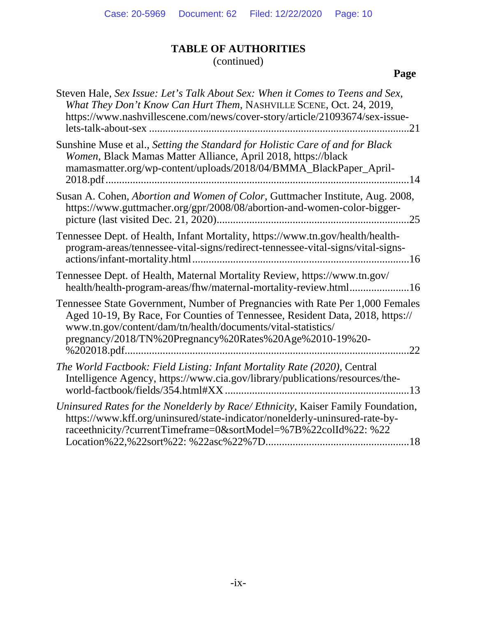(continued)

# **Page**

| Steven Hale, Sex Issue: Let's Talk About Sex: When it Comes to Teens and Sex,<br>What They Don't Know Can Hurt Them, NASHVILLE SCENE, Oct. 24, 2019,<br>https://www.nashvillescene.com/news/cover-story/article/21093674/sex-issue-<br>.21                                                                       |
|------------------------------------------------------------------------------------------------------------------------------------------------------------------------------------------------------------------------------------------------------------------------------------------------------------------|
| Sunshine Muse et al., Setting the Standard for Holistic Care of and for Black<br>Women, Black Mamas Matter Alliance, April 2018, https://black<br>mamasmatter.org/wp-content/uploads/2018/04/BMMA_BlackPaper_April-<br>14                                                                                        |
| Susan A. Cohen, Abortion and Women of Color, Guttmacher Institute, Aug. 2008,<br>https://www.guttmacher.org/gpr/2008/08/abortion-and-women-color-bigger-<br>.25                                                                                                                                                  |
| Tennessee Dept. of Health, Infant Mortality, https://www.tn.gov/health/health-<br>program-areas/tennessee-vital-signs/redirect-tennessee-vital-signs/vital-signs-                                                                                                                                                |
| Tennessee Dept. of Health, Maternal Mortality Review, https://www.tn.gov/<br>health/health-program-areas/fhw/maternal-mortality-review.html16                                                                                                                                                                    |
| Tennessee State Government, Number of Pregnancies with Rate Per 1,000 Females<br>Aged 10-19, By Race, For Counties of Tennessee, Resident Data, 2018, https://<br>www.tn.gov/content/dam/tn/health/documents/vital-statistics/<br>pregnancy/2018/TN%20Pregnancy%20Rates%20Age%2010-19%20-<br>% 202018.pdf.<br>22 |
| The World Factbook: Field Listing: Infant Mortality Rate (2020), Central<br>Intelligence Agency, https://www.cia.gov/library/publications/resources/the-<br>world-factbook/fields/354.html#XX                                                                                                                    |
| Uninsured Rates for the Nonelderly by Race/Ethnicity, Kaiser Family Foundation,<br>https://www.kff.org/uninsured/state-indicator/nonelderly-uninsured-rate-by-<br>raceethnicity/?currentTimeframe=0&sortModel=%7B%22colId%22: %22                                                                                |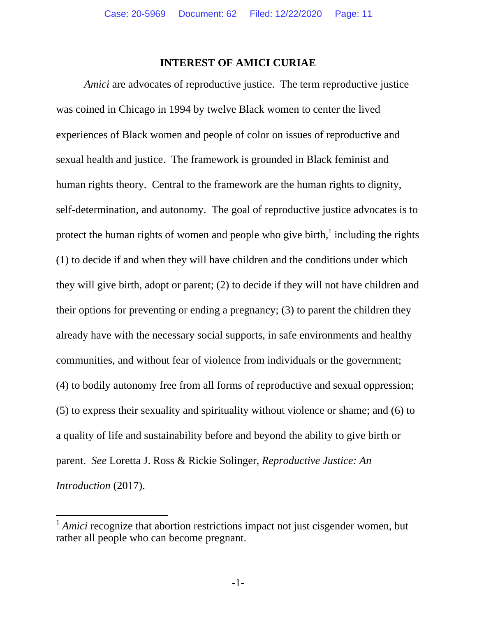#### **INTEREST OF AMICI CURIAE**

*Amici* are advocates of reproductive justice. The term reproductive justice was coined in Chicago in 1994 by twelve Black women to center the lived experiences of Black women and people of color on issues of reproductive and sexual health and justice. The framework is grounded in Black feminist and human rights theory. Central to the framework are the human rights to dignity, self-determination, and autonomy. The goal of reproductive justice advocates is to protect the human rights of women and people who give birth, $\frac{1}{2}$  including the rights (1) to decide if and when they will have children and the conditions under which they will give birth, adopt or parent; (2) to decide if they will not have children and their options for preventing or ending a pregnancy; (3) to parent the children they already have with the necessary social supports, in safe environments and healthy communities, and without fear of violence from individuals or the government; (4) to bodily autonomy free from all forms of reproductive and sexual oppression; (5) to express their sexuality and spirituality without violence or shame; and (6) to a quality of life and sustainability before and beyond the ability to give birth or parent. *See* Loretta J. Ross & Rickie Solinger, *Reproductive Justice: An Introduction* (2017).

 $\overline{a}$ 

<sup>1</sup> *Amici* recognize that abortion restrictions impact not just cisgender women, but rather all people who can become pregnant.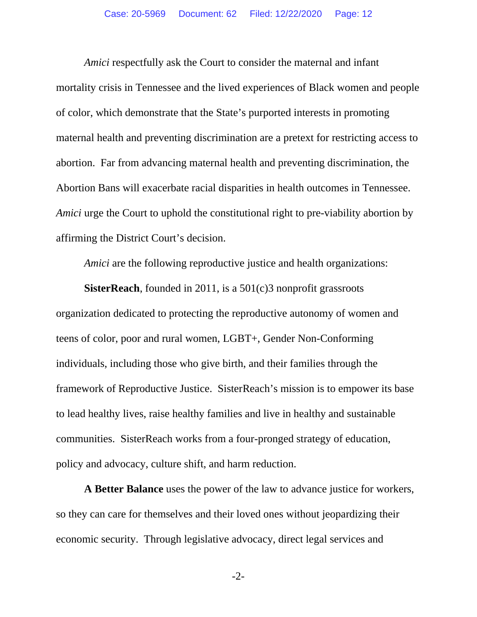*Amici* respectfully ask the Court to consider the maternal and infant mortality crisis in Tennessee and the lived experiences of Black women and people of color, which demonstrate that the State's purported interests in promoting maternal health and preventing discrimination are a pretext for restricting access to abortion. Far from advancing maternal health and preventing discrimination, the Abortion Bans will exacerbate racial disparities in health outcomes in Tennessee. *Amici* urge the Court to uphold the constitutional right to pre-viability abortion by affirming the District Court's decision.

*Amici* are the following reproductive justice and health organizations:

**SisterReach**, founded in 2011, is a 501(c)3 nonprofit grassroots organization dedicated to protecting the reproductive autonomy of women and teens of color, poor and rural women, LGBT+, Gender Non-Conforming individuals, including those who give birth, and their families through the framework of Reproductive Justice. SisterReach's mission is to empower its base to lead healthy lives, raise healthy families and live in healthy and sustainable communities. SisterReach works from a four-pronged strategy of education, policy and advocacy, culture shift, and harm reduction.

**A Better Balance** uses the power of the law to advance justice for workers, so they can care for themselves and their loved ones without jeopardizing their economic security. Through legislative advocacy, direct legal services and

-2-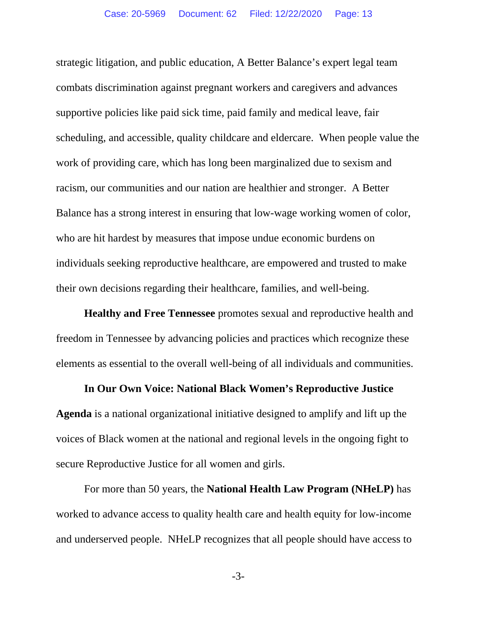strategic litigation, and public education, A Better Balance's expert legal team combats discrimination against pregnant workers and caregivers and advances supportive policies like paid sick time, paid family and medical leave, fair scheduling, and accessible, quality childcare and eldercare. When people value the work of providing care, which has long been marginalized due to sexism and racism, our communities and our nation are healthier and stronger. A Better Balance has a strong interest in ensuring that low-wage working women of color, who are hit hardest by measures that impose undue economic burdens on individuals seeking reproductive healthcare, are empowered and trusted to make their own decisions regarding their healthcare, families, and well-being.

**Healthy and Free Tennessee** promotes sexual and reproductive health and freedom in Tennessee by advancing policies and practices which recognize these elements as essential to the overall well-being of all individuals and communities.

#### **In Our Own Voice: National Black Women's Reproductive Justice**

**Agenda** is a national organizational initiative designed to amplify and lift up the voices of Black women at the national and regional levels in the ongoing fight to secure Reproductive Justice for all women and girls.

For more than 50 years, the **National Health Law Program (NHeLP)** has worked to advance access to quality health care and health equity for low-income and underserved people. NHeLP recognizes that all people should have access to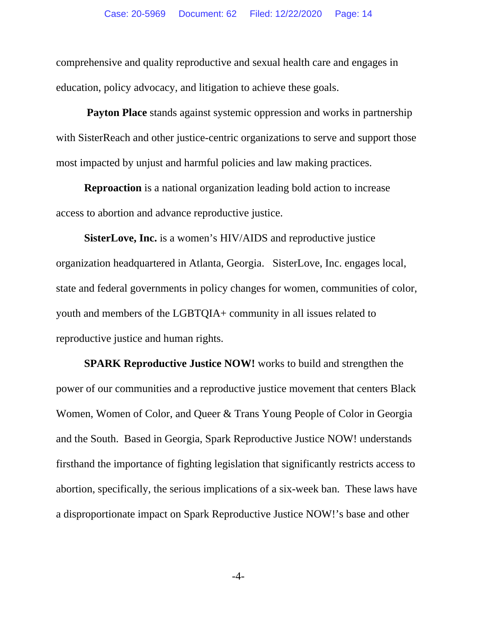comprehensive and quality reproductive and sexual health care and engages in education, policy advocacy, and litigation to achieve these goals.

**Payton Place** stands against systemic oppression and works in partnership with SisterReach and other justice-centric organizations to serve and support those most impacted by unjust and harmful policies and law making practices.

**Reproaction** is a national organization leading bold action to increase access to abortion and advance reproductive justice.

**SisterLove, Inc.** is a women's HIV/AIDS and reproductive justice organization headquartered in Atlanta, Georgia. SisterLove, Inc. engages local, state and federal governments in policy changes for women, communities of color, youth and members of the LGBTQIA+ community in all issues related to reproductive justice and human rights.

**SPARK Reproductive Justice NOW!** works to build and strengthen the power of our communities and a reproductive justice movement that centers Black Women, Women of Color, and Queer & Trans Young People of Color in Georgia and the South. Based in Georgia, Spark Reproductive Justice NOW! understands firsthand the importance of fighting legislation that significantly restricts access to abortion, specifically, the serious implications of a six-week ban. These laws have a disproportionate impact on Spark Reproductive Justice NOW!'s base and other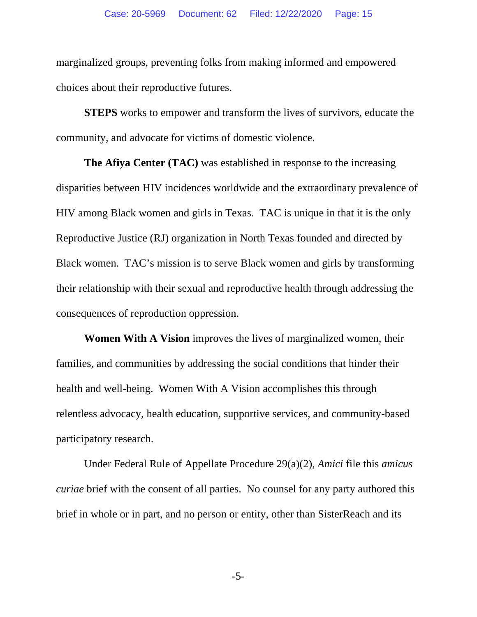marginalized groups, preventing folks from making informed and empowered choices about their reproductive futures.

**STEPS** works to empower and transform the lives of survivors, educate the community, and advocate for victims of domestic violence.

**The Afiya Center (TAC)** was established in response to the increasing disparities between HIV incidences worldwide and the extraordinary prevalence of HIV among Black women and girls in Texas. TAC is unique in that it is the only Reproductive Justice (RJ) organization in North Texas founded and directed by Black women. TAC's mission is to serve Black women and girls by transforming their relationship with their sexual and reproductive health through addressing the consequences of reproduction oppression.

**Women With A Vision** improves the lives of marginalized women, their families, and communities by addressing the social conditions that hinder their health and well-being. Women With A Vision accomplishes this through relentless advocacy, health education, supportive services, and community-based participatory research.

Under Federal Rule of Appellate Procedure 29(a)(2), *Amici* file this *amicus curiae* brief with the consent of all parties. No counsel for any party authored this brief in whole or in part, and no person or entity, other than SisterReach and its

-5-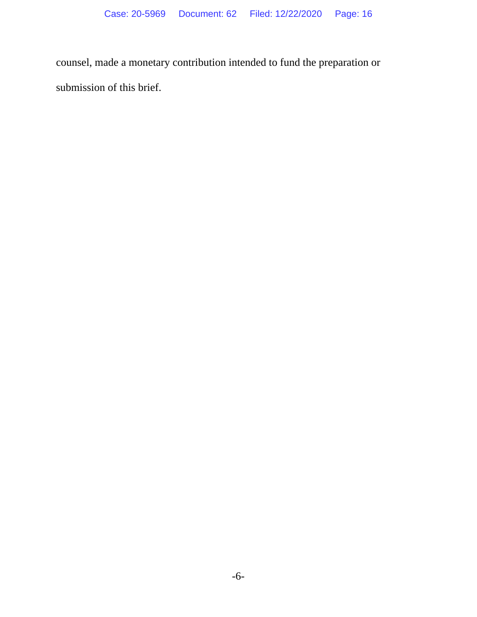counsel, made a monetary contribution intended to fund the preparation or submission of this brief.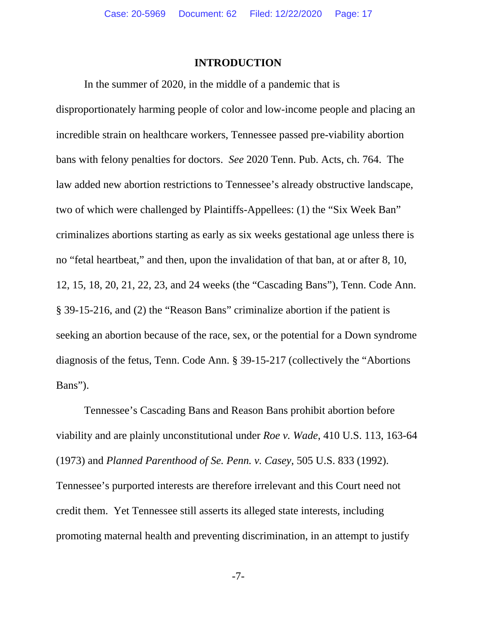#### **INTRODUCTION**

In the summer of 2020, in the middle of a pandemic that is disproportionately harming people of color and low-income people and placing an incredible strain on healthcare workers, Tennessee passed pre-viability abortion bans with felony penalties for doctors. *See* 2020 Tenn. Pub. Acts, ch. 764. The law added new abortion restrictions to Tennessee's already obstructive landscape, two of which were challenged by Plaintiffs-Appellees: (1) the "Six Week Ban" criminalizes abortions starting as early as six weeks gestational age unless there is no "fetal heartbeat," and then, upon the invalidation of that ban, at or after 8, 10, 12, 15, 18, 20, 21, 22, 23, and 24 weeks (the "Cascading Bans"), Tenn. Code Ann. § 39-15-216, and (2) the "Reason Bans" criminalize abortion if the patient is seeking an abortion because of the race, sex, or the potential for a Down syndrome diagnosis of the fetus, Tenn. Code Ann. § 39-15-217 (collectively the "Abortions Bans").

Tennessee's Cascading Bans and Reason Bans prohibit abortion before viability and are plainly unconstitutional under *Roe v. Wade*, 410 U.S. 113, 163-64 (1973) and *Planned Parenthood of Se. Penn. v. Casey*, 505 U.S. 833 (1992). Tennessee's purported interests are therefore irrelevant and this Court need not credit them. Yet Tennessee still asserts its alleged state interests, including promoting maternal health and preventing discrimination, in an attempt to justify

-7-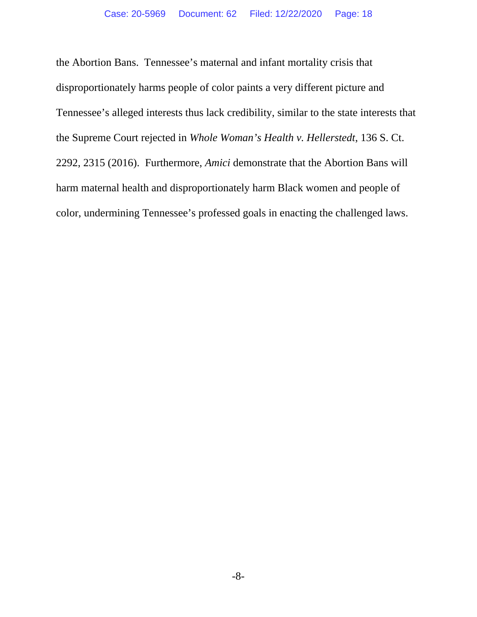the Abortion Bans. Tennessee's maternal and infant mortality crisis that disproportionately harms people of color paints a very different picture and Tennessee's alleged interests thus lack credibility, similar to the state interests that the Supreme Court rejected in *Whole Woman's Health v. Hellerstedt*, 136 S. Ct. 2292, 2315 (2016). Furthermore, *Amici* demonstrate that the Abortion Bans will harm maternal health and disproportionately harm Black women and people of color, undermining Tennessee's professed goals in enacting the challenged laws.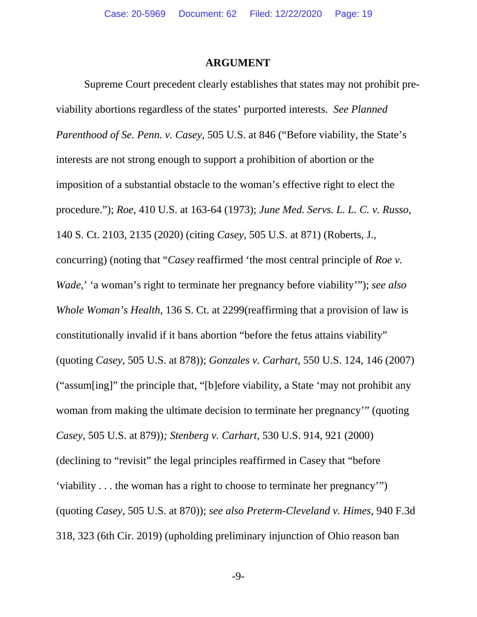#### **ARGUMENT**

Supreme Court precedent clearly establishes that states may not prohibit previability abortions regardless of the states' purported interests. *See Planned Parenthood of Se. Penn. v. Casey*, 505 U.S. at 846 ("Before viability, the State's interests are not strong enough to support a prohibition of abortion or the imposition of a substantial obstacle to the woman's effective right to elect the procedure."); *Roe*, 410 U.S. at 163-64 (1973); *June Med. Servs. L. L. C. v. Russo*, 140 S. Ct. 2103, 2135 (2020) (citing *Casey*, 505 U.S. at 871) (Roberts, J., concurring) (noting that "*Casey* reaffirmed 'the most central principle of *Roe v. Wade*,' 'a woman's right to terminate her pregnancy before viability'"); *see also Whole Woman's Health*, 136 S. Ct. at 2299(reaffirming that a provision of law is constitutionally invalid if it bans abortion "before the fetus attains viability" (quoting *Casey*, 505 U.S. at 878)); *Gonzales v. Carhart*, 550 U.S. 124, 146 (2007) ("assum[ing]" the principle that, "[b]efore viability, a State 'may not prohibit any woman from making the ultimate decision to terminate her pregnancy'" (quoting *Casey*, 505 U.S. at 879))*; Stenberg v. Carhart*, 530 U.S. 914, 921 (2000) (declining to "revisit" the legal principles reaffirmed in Casey that "before 'viability . . . the woman has a right to choose to terminate her pregnancy'") (quoting *Casey*, 505 U.S. at 870)); *see also Preterm-Cleveland v. Himes*, 940 F.3d 318, 323 (6th Cir. 2019) (upholding preliminary injunction of Ohio reason ban

-9-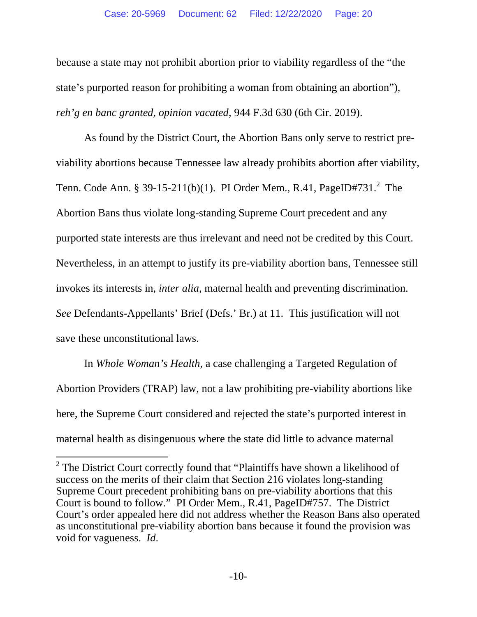because a state may not prohibit abortion prior to viability regardless of the "the state's purported reason for prohibiting a woman from obtaining an abortion"), *reh'g en banc granted*, *opinion vacated*, 944 F.3d 630 (6th Cir. 2019).

As found by the District Court, the Abortion Bans only serve to restrict previability abortions because Tennessee law already prohibits abortion after viability, Tenn. Code Ann. § 39-15-211(b)(1). PI Order Mem., R.41, PageID#731.<sup>2</sup> The Abortion Bans thus violate long-standing Supreme Court precedent and any purported state interests are thus irrelevant and need not be credited by this Court. Nevertheless, in an attempt to justify its pre-viability abortion bans, Tennessee still invokes its interests in, *inter alia*, maternal health and preventing discrimination. *See* Defendants-Appellants' Brief (Defs.' Br.) at 11. This justification will not save these unconstitutional laws.

In *Whole Woman's Health*, a case challenging a Targeted Regulation of Abortion Providers (TRAP) law, not a law prohibiting pre-viability abortions like here, the Supreme Court considered and rejected the state's purported interest in maternal health as disingenuous where the state did little to advance maternal

 $\overline{\phantom{a}}$ 

 $2$  The District Court correctly found that "Plaintiffs have shown a likelihood of success on the merits of their claim that Section 216 violates long-standing Supreme Court precedent prohibiting bans on pre-viability abortions that this Court is bound to follow." PI Order Mem., R.41, PageID#757. The District Court's order appealed here did not address whether the Reason Bans also operated as unconstitutional pre-viability abortion bans because it found the provision was void for vagueness. *Id*.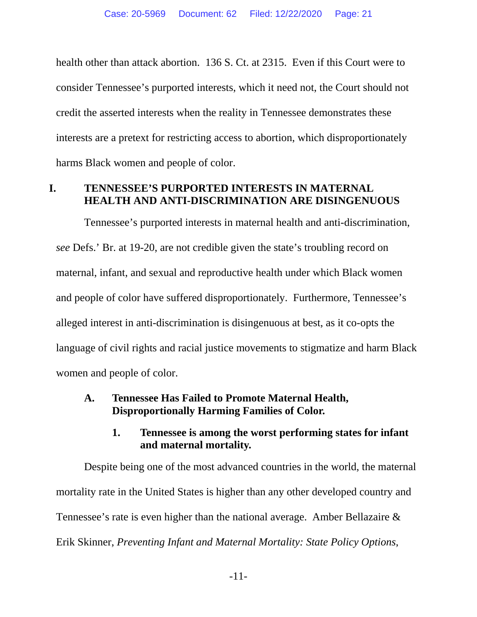health other than attack abortion. 136 S. Ct. at 2315. Even if this Court were to consider Tennessee's purported interests, which it need not, the Court should not credit the asserted interests when the reality in Tennessee demonstrates these interests are a pretext for restricting access to abortion, which disproportionately harms Black women and people of color.

## **I. TENNESSEE'S PURPORTED INTERESTS IN MATERNAL HEALTH AND ANTI-DISCRIMINATION ARE DISINGENUOUS**

Tennessee's purported interests in maternal health and anti-discrimination, *see* Defs.' Br. at 19-20, are not credible given the state's troubling record on maternal, infant, and sexual and reproductive health under which Black women and people of color have suffered disproportionately. Furthermore, Tennessee's alleged interest in anti-discrimination is disingenuous at best, as it co-opts the language of civil rights and racial justice movements to stigmatize and harm Black women and people of color.

### **A. Tennessee Has Failed to Promote Maternal Health, Disproportionally Harming Families of Color.**

### **1. Tennessee is among the worst performing states for infant and maternal mortality.**

Despite being one of the most advanced countries in the world, the maternal mortality rate in the United States is higher than any other developed country and Tennessee's rate is even higher than the national average. Amber Bellazaire & Erik Skinner, *Preventing Infant and Maternal Mortality: State Policy Options*,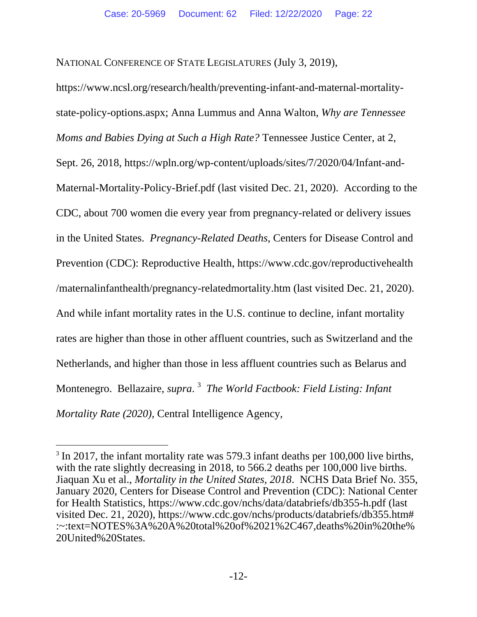NATIONAL CONFERENCE OF STATE LEGISLATURES (July 3, 2019),

https://www.ncsl.org/research/health/preventing-infant-and-maternal-mortalitystate-policy-options.aspx; Anna Lummus and Anna Walton, *Why are Tennessee Moms and Babies Dying at Such a High Rate?* Tennessee Justice Center, at 2, Sept. 26, 2018, https://wpln.org/wp-content/uploads/sites/7/2020/04/Infant-and-Maternal-Mortality-Policy-Brief.pdf (last visited Dec. 21, 2020). According to the CDC, about 700 women die every year from pregnancy-related or delivery issues in the United States. *Pregnancy-Related Deaths*, Centers for Disease Control and Prevention (CDC): Reproductive Health, https://www.cdc.gov/reproductivehealth /maternalinfanthealth/pregnancy-relatedmortality.htm (last visited Dec. 21, 2020). And while infant mortality rates in the U.S. continue to decline, infant mortality rates are higher than those in other affluent countries, such as Switzerland and the Netherlands, and higher than those in less affluent countries such as Belarus and Montenegro. Bellazaire, *supra*. <sup>3</sup> *The World Factbook: Field Listing: Infant Mortality Rate (2020)*, Central Intelligence Agency,

l

<sup>&</sup>lt;sup>3</sup> In 2017, the infant mortality rate was 579.3 infant deaths per 100,000 live births, with the rate slightly decreasing in 2018, to 566.2 deaths per 100,000 live births. Jiaquan Xu et al., *Mortality in the United States, 2018*. NCHS Data Brief No. 355, January 2020, Centers for Disease Control and Prevention (CDC): National Center for Health Statistics, https://www.cdc.gov/nchs/data/databriefs/db355-h.pdf (last visited Dec. 21, 2020), https://www.cdc.gov/nchs/products/databriefs/db355.htm# :~:text=NOTES%3A%20A%20total%20of%2021%2C467,deaths%20in%20the% 20United%20States.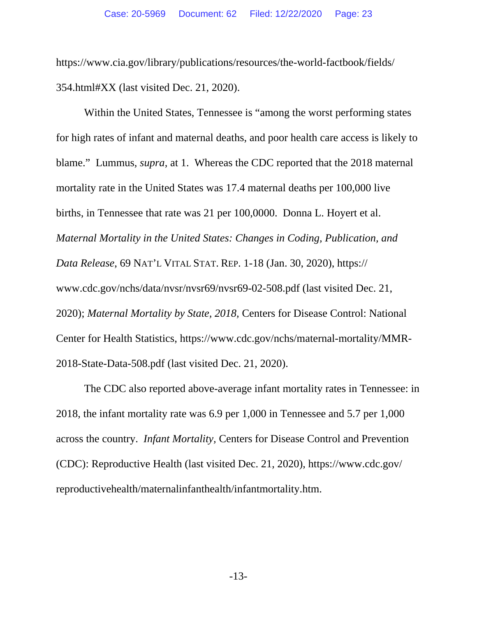https://www.cia.gov/library/publications/resources/the-world-factbook/fields/ 354.html#XX (last visited Dec. 21, 2020).

Within the United States, Tennessee is "among the worst performing states for high rates of infant and maternal deaths, and poor health care access is likely to blame." Lummus, *supra*, at 1. Whereas the CDC reported that the 2018 maternal mortality rate in the United States was 17.4 maternal deaths per 100,000 live births, in Tennessee that rate was 21 per 100,0000. Donna L. Hoyert et al. *Maternal Mortality in the United States: Changes in Coding, Publication, and Data Release*, 69 NAT'L VITAL STAT. REP. 1-18 (Jan. 30, 2020), https:// www.cdc.gov/nchs/data/nvsr/nvsr69/nvsr69-02-508.pdf (last visited Dec. 21, 2020); *Maternal Mortality by State, 2018,* Centers for Disease Control: National Center for Health Statistics, https://www.cdc.gov/nchs/maternal-mortality/MMR-2018-State-Data-508.pdf (last visited Dec. 21, 2020).

The CDC also reported above-average infant mortality rates in Tennessee: in 2018, the infant mortality rate was 6.9 per 1,000 in Tennessee and 5.7 per 1,000 across the country. *Infant Mortality,* Centers for Disease Control and Prevention (CDC): Reproductive Health (last visited Dec. 21, 2020), https://www.cdc.gov/ reproductivehealth/maternalinfanthealth/infantmortality.htm.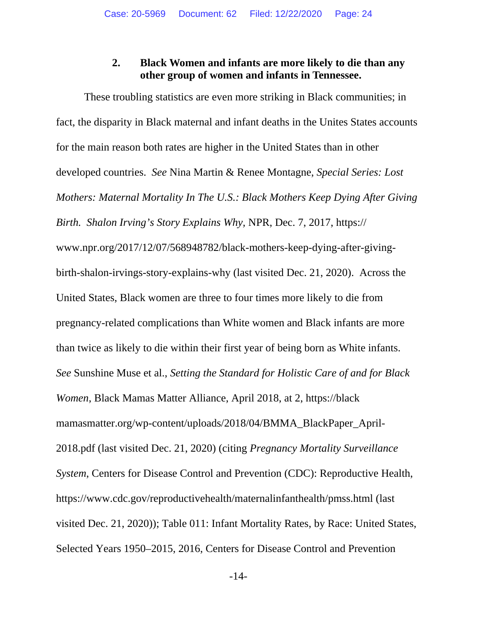## **2. Black Women and infants are more likely to die than any other group of women and infants in Tennessee.**

These troubling statistics are even more striking in Black communities; in fact, the disparity in Black maternal and infant deaths in the Unites States accounts for the main reason both rates are higher in the United States than in other developed countries. *See* Nina Martin & Renee Montagne, *Special Series: Lost Mothers: Maternal Mortality In The U.S.: Black Mothers Keep Dying After Giving Birth. Shalon Irving's Story Explains Why,* NPR, Dec. 7, 2017, https:// www.npr.org/2017/12/07/568948782/black-mothers-keep-dying-after-givingbirth-shalon-irvings-story-explains-why (last visited Dec. 21, 2020). Across the United States, Black women are three to four times more likely to die from pregnancy-related complications than White women and Black infants are more than twice as likely to die within their first year of being born as White infants. *See* Sunshine Muse et al., *Setting the Standard for Holistic Care of and for Black Women*, Black Mamas Matter Alliance, April 2018, at 2, https://black mamasmatter.org/wp-content/uploads/2018/04/BMMA\_BlackPaper\_April-2018.pdf (last visited Dec. 21, 2020) (citing *Pregnancy Mortality Surveillance System*, Centers for Disease Control and Prevention (CDC): Reproductive Health, https://www.cdc.gov/reproductivehealth/maternalinfanthealth/pmss.html (last visited Dec. 21, 2020)); Table 011: Infant Mortality Rates, by Race: United States, Selected Years 1950–2015, 2016, Centers for Disease Control and Prevention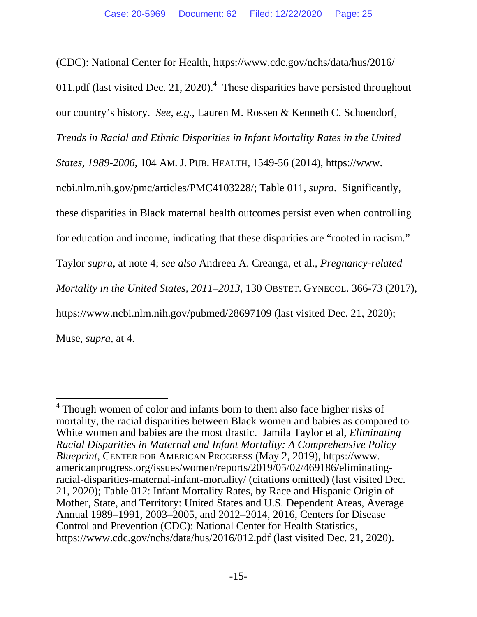(CDC): National Center for Health, https://www.cdc.gov/nchs/data/hus/2016/ 011.pdf (last visited Dec. 21, 2020).<sup>4</sup> These disparities have persisted throughout our country's history. *See, e.g.*, Lauren M. Rossen & Kenneth C. Schoendorf, *Trends in Racial and Ethnic Disparities in Infant Mortality Rates in the United States, 1989-2006*, 104 AM. J. PUB. HEALTH, 1549-56 (2014), https://www. ncbi.nlm.nih.gov/pmc/articles/PMC4103228/; Table 011, *supra*. Significantly, these disparities in Black maternal health outcomes persist even when controlling for education and income, indicating that these disparities are "rooted in racism." Taylor *supra*, at note 4; *see also* Andreea A. Creanga, et al., *Pregnancy-related Mortality in the United States, 2011–2013,* 130 OBSTET. GYNECOL. 366-73 (2017), https://www.ncbi.nlm.nih.gov/pubmed/28697109 (last visited Dec. 21, 2020); Muse, *supra*, at 4.

 4 Though women of color and infants born to them also face higher risks of mortality, the racial disparities between Black women and babies as compared to White women and babies are the most drastic. Jamila Taylor et al, *Eliminating Racial Disparities in Maternal and Infant Mortality: A Comprehensive Policy Blueprint*, CENTER FOR AMERICAN PROGRESS (May 2, 2019), https://www. americanprogress.org/issues/women/reports/2019/05/02/469186/eliminatingracial-disparities-maternal-infant-mortality/ (citations omitted) (last visited Dec. 21, 2020); Table 012: Infant Mortality Rates, by Race and Hispanic Origin of Mother, State, and Territory: United States and U.S. Dependent Areas, Average Annual 1989–1991, 2003–2005, and 2012–2014, 2016, Centers for Disease Control and Prevention (CDC): National Center for Health Statistics, https://www.cdc.gov/nchs/data/hus/2016/012.pdf (last visited Dec. 21, 2020).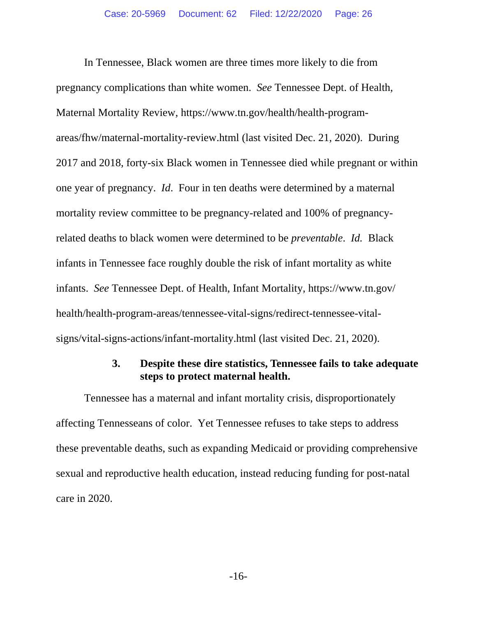In Tennessee, Black women are three times more likely to die from pregnancy complications than white women. *See* Tennessee Dept. of Health, Maternal Mortality Review, https://www.tn.gov/health/health-programareas/fhw/maternal-mortality-review.html (last visited Dec. 21, 2020). During 2017 and 2018, forty-six Black women in Tennessee died while pregnant or within one year of pregnancy. *Id*.Four in ten deaths were determined by a maternal mortality review committee to be pregnancy-related and 100% of pregnancyrelated deaths to black women were determined to be *preventable*. *Id.* Black infants in Tennessee face roughly double the risk of infant mortality as white infants. *See* Tennessee Dept. of Health, Infant Mortality, https://www.tn.gov/ health/health-program-areas/tennessee-vital-signs/redirect-tennessee-vitalsigns/vital-signs-actions/infant-mortality.html (last visited Dec. 21, 2020).

#### **3. Despite these dire statistics, Tennessee fails to take adequate steps to protect maternal health.**

Tennessee has a maternal and infant mortality crisis, disproportionately affecting Tennesseans of color. Yet Tennessee refuses to take steps to address these preventable deaths, such as expanding Medicaid or providing comprehensive sexual and reproductive health education, instead reducing funding for post-natal care in 2020.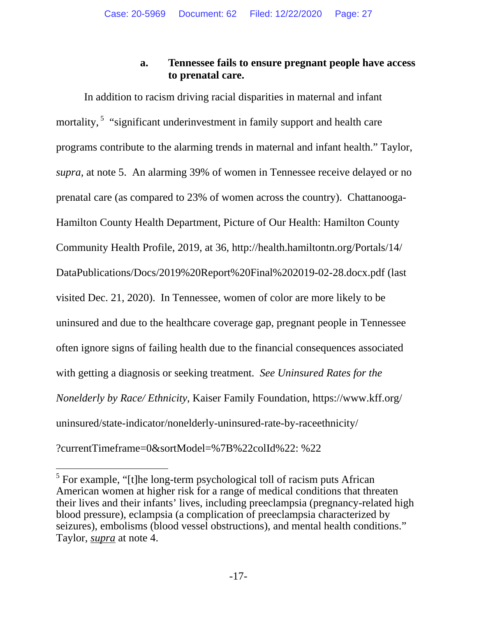## **a. Tennessee fails to ensure pregnant people have access to prenatal care.**

In addition to racism driving racial disparities in maternal and infant mortality,<sup>5</sup> "significant underinvestment in family support and health care programs contribute to the alarming trends in maternal and infant health." Taylor, *supra,* at note 5. An alarming 39% of women in Tennessee receive delayed or no prenatal care (as compared to 23% of women across the country). Chattanooga-Hamilton County Health Department, Picture of Our Health: Hamilton County Community Health Profile, 2019, at 36, http://health.hamiltontn.org/Portals/14/ DataPublications/Docs/2019%20Report%20Final%202019-02-28.docx.pdf (last visited Dec. 21, 2020). In Tennessee, women of color are more likely to be uninsured and due to the healthcare coverage gap, pregnant people in Tennessee often ignore signs of failing health due to the financial consequences associated with getting a diagnosis or seeking treatment. *See Uninsured Rates for the Nonelderly by Race/ Ethnicity*, Kaiser Family Foundation, https://www.kff.org/ uninsured/state-indicator/nonelderly-uninsured-rate-by-raceethnicity/ ?currentTimeframe=0&sortModel=%7B%22colId%22: %22

l  $<sup>5</sup>$  For example, "[t]he long-term psychological toll of racism puts African</sup> American women at higher risk for a range of medical conditions that threaten their lives and their infants' lives, including preeclampsia (pregnancy-related high blood pressure), eclampsia (a complication of preeclampsia characterized by seizures), embolisms (blood vessel obstructions), and mental health conditions." Taylor, *supra* at note 4.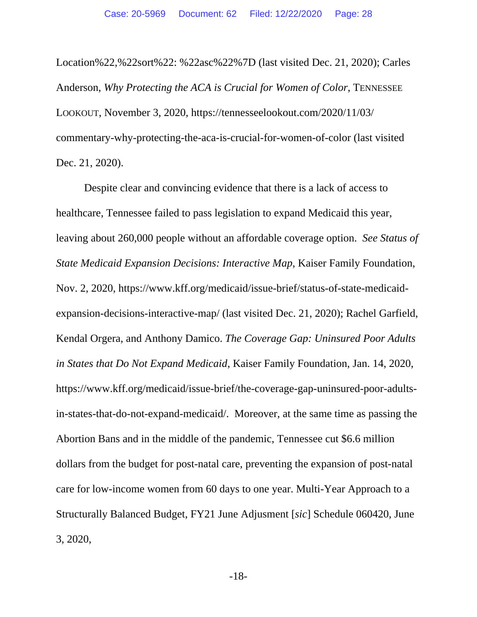Location%22,%22sort%22: %22asc%22%7D (last visited Dec. 21, 2020); Carles Anderson, *Why Protecting the ACA is Crucial for Women of Color*, TENNESSEE LOOKOUT, November 3, 2020, https://tennesseelookout.com/2020/11/03/ commentary-why-protecting-the-aca-is-crucial-for-women-of-color (last visited Dec. 21, 2020).

Despite clear and convincing evidence that there is a lack of access to healthcare, Tennessee failed to pass legislation to expand Medicaid this year, leaving about 260,000 people without an affordable coverage option. *See Status of State Medicaid Expansion Decisions: Interactive Map*, Kaiser Family Foundation, Nov. 2, 2020, https://www.kff.org/medicaid/issue-brief/status-of-state-medicaidexpansion-decisions-interactive-map/ (last visited Dec. 21, 2020); Rachel Garfield, Kendal Orgera, and Anthony Damico. *The Coverage Gap: Uninsured Poor Adults in States that Do Not Expand Medicaid*, Kaiser Family Foundation, Jan. 14, 2020, https://www.kff.org/medicaid/issue-brief/the-coverage-gap-uninsured-poor-adultsin-states-that-do-not-expand-medicaid/. Moreover, at the same time as passing the Abortion Bans and in the middle of the pandemic, Tennessee cut \$6.6 million dollars from the budget for post-natal care, preventing the expansion of post-natal care for low-income women from 60 days to one year. Multi-Year Approach to a Structurally Balanced Budget, FY21 June Adjusment [*sic*] Schedule 060420, June 3, 2020,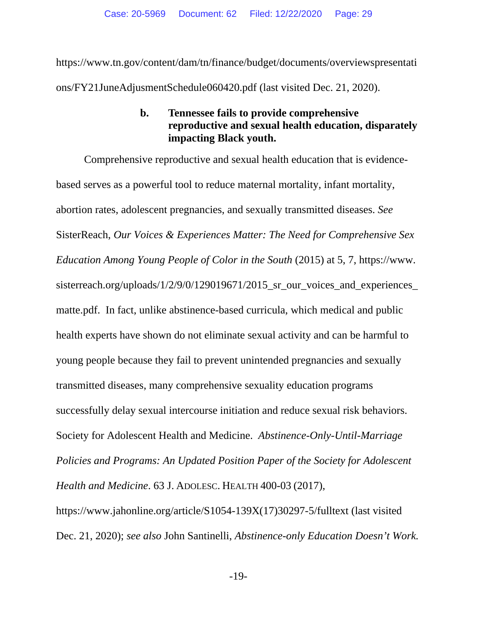https://www.tn.gov/content/dam/tn/finance/budget/documents/overviewspresentati ons/FY21JuneAdjusmentSchedule060420.pdf (last visited Dec. 21, 2020).

## **b. Tennessee fails to provide comprehensive reproductive and sexual health education, disparately impacting Black youth.**

Comprehensive reproductive and sexual health education that is evidencebased serves as a powerful tool to reduce maternal mortality, infant mortality, abortion rates, adolescent pregnancies, and sexually transmitted diseases. *See*  SisterReach, *Our Voices & Experiences Matter: The Need for Comprehensive Sex Education Among Young People of Color in the South* (2015) at 5, 7, https://www. sisterreach.org/uploads/1/2/9/0/129019671/2015\_sr\_our\_voices\_and\_experiences\_ matte.pdf. In fact, unlike abstinence-based curricula, which medical and public health experts have shown do not eliminate sexual activity and can be harmful to young people because they fail to prevent unintended pregnancies and sexually transmitted diseases, many comprehensive sexuality education programs successfully delay sexual intercourse initiation and reduce sexual risk behaviors. Society for Adolescent Health and Medicine. *Abstinence-Only-Until-Marriage Policies and Programs: An Updated Position Paper of the Society for Adolescent Health and Medicine*. 63 J. ADOLESC. HEALTH 400-03 (2017), https://www.jahonline.org/article/S1054-139X(17)30297-5/fulltext (last visited Dec. 21, 2020); *see also* John Santinelli, *Abstinence-only Education Doesn't Work.*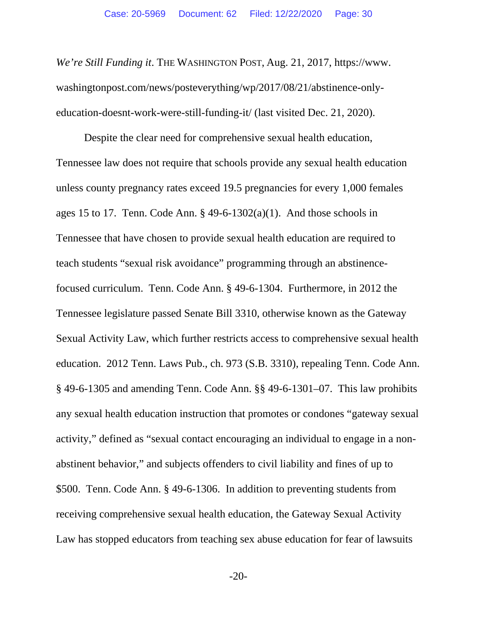*We're Still Funding it*. THE WASHINGTON POST, Aug. 21, 2017, https://www. washingtonpost.com/news/posteverything/wp/2017/08/21/abstinence-onlyeducation-doesnt-work-were-still-funding-it/ (last visited Dec. 21, 2020).

Despite the clear need for comprehensive sexual health education, Tennessee law does not require that schools provide any sexual health education unless county pregnancy rates exceed 19.5 pregnancies for every 1,000 females ages 15 to 17. Tenn. Code Ann.  $\S$  49-6-1302(a)(1). And those schools in Tennessee that have chosen to provide sexual health education are required to teach students "sexual risk avoidance" programming through an abstinencefocused curriculum. Tenn. Code Ann. § 49-6-1304. Furthermore, in 2012 the Tennessee legislature passed Senate Bill 3310, otherwise known as the Gateway Sexual Activity Law, which further restricts access to comprehensive sexual health education. 2012 Tenn. Laws Pub., ch. 973 (S.B. 3310), repealing Tenn. Code Ann. § 49-6-1305 and amending Tenn. Code Ann. §§ 49-6-1301–07. This law prohibits any sexual health education instruction that promotes or condones "gateway sexual activity," defined as "sexual contact encouraging an individual to engage in a nonabstinent behavior," and subjects offenders to civil liability and fines of up to \$500. Tenn. Code Ann. § 49-6-1306. In addition to preventing students from receiving comprehensive sexual health education, the Gateway Sexual Activity Law has stopped educators from teaching sex abuse education for fear of lawsuits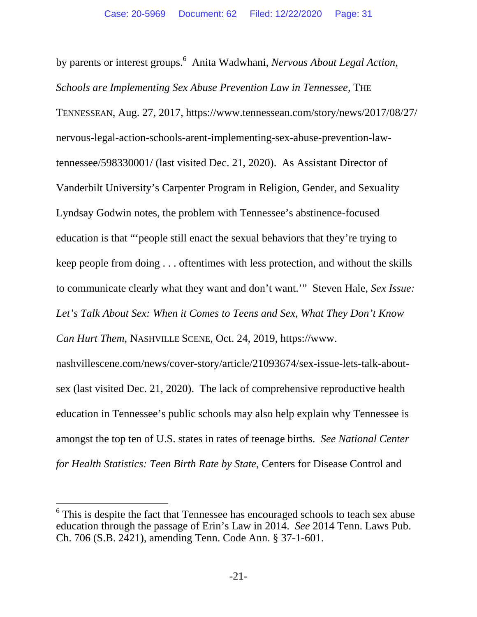by parents or interest groups.<sup>6</sup> Anita Wadwhani, *Nervous About Legal Action*, *Schools are Implementing Sex Abuse Prevention Law in Tennessee*, THE TENNESSEAN, Aug. 27, 2017, https://www.tennessean.com/story/news/2017/08/27/ nervous-legal-action-schools-arent-implementing-sex-abuse-prevention-lawtennessee/598330001/ (last visited Dec. 21, 2020). As Assistant Director of Vanderbilt University's Carpenter Program in Religion, Gender, and Sexuality Lyndsay Godwin notes, the problem with Tennessee's abstinence-focused education is that "'people still enact the sexual behaviors that they're trying to keep people from doing . . . oftentimes with less protection, and without the skills to communicate clearly what they want and don't want.'" Steven Hale, *Sex Issue: Let's Talk About Sex: When it Comes to Teens and Sex, What They Don't Know Can Hurt Them*, NASHVILLE SCENE, Oct. 24, 2019, https://www. nashvillescene.com/news/cover-story/article/21093674/sex-issue-lets-talk-aboutsex (last visited Dec. 21, 2020). The lack of comprehensive reproductive health

education in Tennessee's public schools may also help explain why Tennessee is amongst the top ten of U.S. states in rates of teenage births. *See National Center for Health Statistics: Teen Birth Rate by State*, Centers for Disease Control and

l <sup>6</sup> This is despite the fact that Tennessee has encouraged schools to teach sex abuse education through the passage of Erin's Law in 2014. *See* 2014 Tenn. Laws Pub. Ch. 706 (S.B. 2421), amending Tenn. Code Ann. § 37-1-601.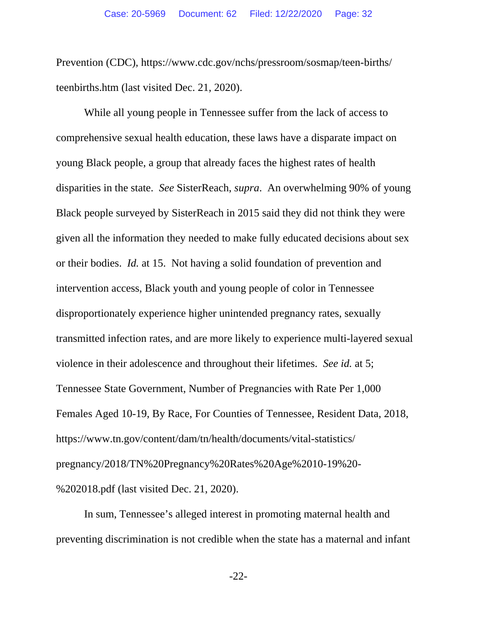Prevention (CDC), https://www.cdc.gov/nchs/pressroom/sosmap/teen-births/ teenbirths.htm (last visited Dec. 21, 2020).

 While all young people in Tennessee suffer from the lack of access to comprehensive sexual health education, these laws have a disparate impact on young Black people, a group that already faces the highest rates of health disparities in the state. *See* SisterReach, *supra*. An overwhelming 90% of young Black people surveyed by SisterReach in 2015 said they did not think they were given all the information they needed to make fully educated decisions about sex or their bodies. *Id.* at 15. Not having a solid foundation of prevention and intervention access, Black youth and young people of color in Tennessee disproportionately experience higher unintended pregnancy rates, sexually transmitted infection rates, and are more likely to experience multi-layered sexual violence in their adolescence and throughout their lifetimes. *See id.* at 5; Tennessee State Government, Number of Pregnancies with Rate Per 1,000 Females Aged 10-19, By Race, For Counties of Tennessee, Resident Data, 2018, https://www.tn.gov/content/dam/tn/health/documents/vital-statistics/ pregnancy/2018/TN%20Pregnancy%20Rates%20Age%2010-19%20- %202018.pdf (last visited Dec. 21, 2020).

In sum, Tennessee's alleged interest in promoting maternal health and preventing discrimination is not credible when the state has a maternal and infant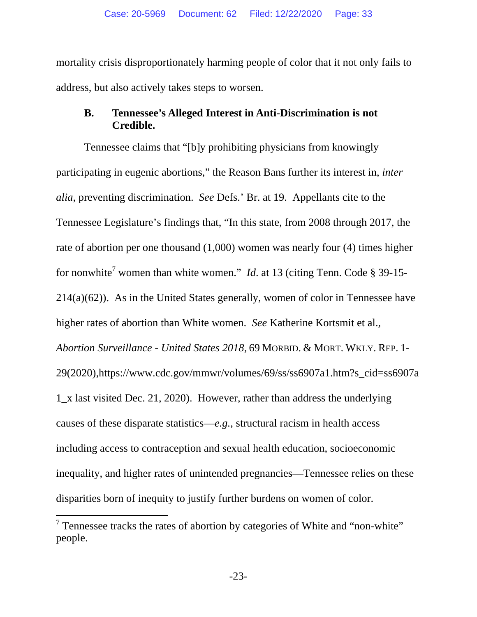mortality crisis disproportionately harming people of color that it not only fails to address, but also actively takes steps to worsen.

## **B. Tennessee's Alleged Interest in Anti-Discrimination is not Credible.**

Tennessee claims that "[b]y prohibiting physicians from knowingly participating in eugenic abortions," the Reason Bans further its interest in, *inter alia*, preventing discrimination. *See* Defs.' Br. at 19. Appellants cite to the Tennessee Legislature's findings that, "In this state, from 2008 through 2017, the rate of abortion per one thousand (1,000) women was nearly four (4) times higher for nonwhite<sup>7</sup> women than white women." *Id*. at 13 (citing Tenn. Code § 39-15-214(a)(62)). As in the United States generally, women of color in Tennessee have higher rates of abortion than White women. *See* Katherine Kortsmit et al., *Abortion Surveillance - United States 2018*, 69 MORBID. & MORT. WKLY. REP. 1- 29(2020),https://www.cdc.gov/mmwr/volumes/69/ss/ss6907a1.htm?s\_cid=ss6907a 1\_x last visited Dec. 21, 2020). However, rather than address the underlying causes of these disparate statistics—*e.g.*, structural racism in health access including access to contraception and sexual health education, socioeconomic inequality, and higher rates of unintended pregnancies—Tennessee relies on these disparities born of inequity to justify further burdens on women of color.

l

 $7$  Tennessee tracks the rates of abortion by categories of White and "non-white" people.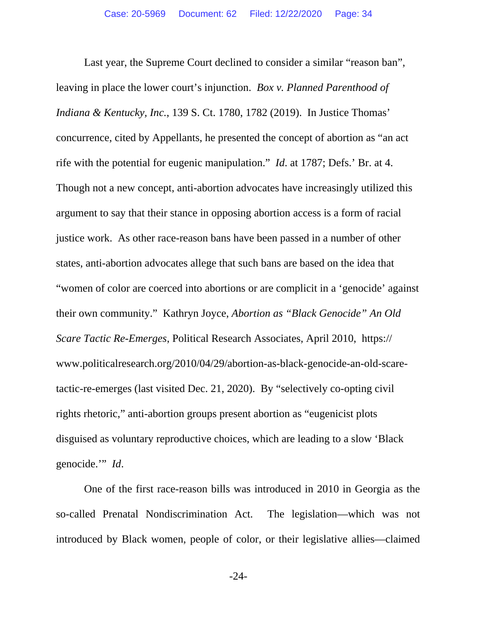Last year, the Supreme Court declined to consider a similar "reason ban", leaving in place the lower court's injunction. *Box v. Planned Parenthood of Indiana & Kentucky, Inc.*, 139 S. Ct. 1780, 1782 (2019). In Justice Thomas' concurrence, cited by Appellants, he presented the concept of abortion as "an act rife with the potential for eugenic manipulation." *Id*. at 1787; Defs.' Br. at 4. Though not a new concept, anti-abortion advocates have increasingly utilized this argument to say that their stance in opposing abortion access is a form of racial justice work. As other race-reason bans have been passed in a number of other states, anti-abortion advocates allege that such bans are based on the idea that "women of color are coerced into abortions or are complicit in a 'genocide' against their own community." Kathryn Joyce, *Abortion as "Black Genocide" An Old Scare Tactic Re-Emerges*, Political Research Associates, April 2010, https:// www.politicalresearch.org/2010/04/29/abortion-as-black-genocide-an-old-scaretactic-re-emerges (last visited Dec. 21, 2020). By "selectively co-opting civil rights rhetoric," anti-abortion groups present abortion as "eugenicist plots disguised as voluntary reproductive choices, which are leading to a slow 'Black genocide.'" *Id*.

One of the first race-reason bills was introduced in 2010 in Georgia as the so-called Prenatal Nondiscrimination Act. The legislation—which was not introduced by Black women, people of color, or their legislative allies—claimed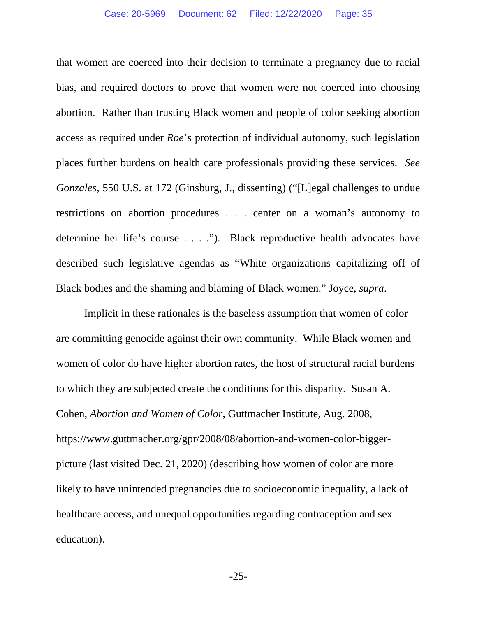that women are coerced into their decision to terminate a pregnancy due to racial bias, and required doctors to prove that women were not coerced into choosing abortion. Rather than trusting Black women and people of color seeking abortion access as required under *Roe*'s protection of individual autonomy, such legislation places further burdens on health care professionals providing these services. *See Gonzales*, 550 U.S. at 172 (Ginsburg, J., dissenting) ("[L]egal challenges to undue restrictions on abortion procedures . . . center on a woman's autonomy to determine her life's course . . . ."). Black reproductive health advocates have described such legislative agendas as "White organizations capitalizing off of Black bodies and the shaming and blaming of Black women." Joyce, *supra*.

Implicit in these rationales is the baseless assumption that women of color are committing genocide against their own community. While Black women and women of color do have higher abortion rates, the host of structural racial burdens to which they are subjected create the conditions for this disparity. Susan A. Cohen, *Abortion and Women of Color*, Guttmacher Institute, Aug. 2008, https://www.guttmacher.org/gpr/2008/08/abortion-and-women-color-biggerpicture (last visited Dec. 21, 2020) (describing how women of color are more likely to have unintended pregnancies due to socioeconomic inequality, a lack of healthcare access, and unequal opportunities regarding contraception and sex education).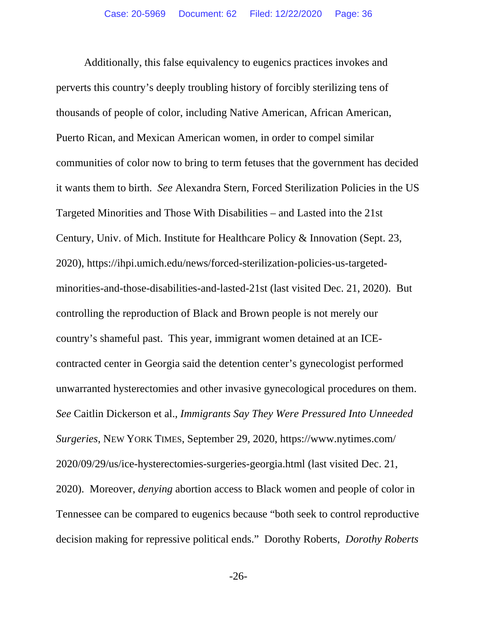Additionally, this false equivalency to eugenics practices invokes and perverts this country's deeply troubling history of forcibly sterilizing tens of thousands of people of color, including Native American, African American, Puerto Rican, and Mexican American women, in order to compel similar communities of color now to bring to term fetuses that the government has decided it wants them to birth. *See* Alexandra Stern, Forced Sterilization Policies in the US Targeted Minorities and Those With Disabilities – and Lasted into the 21st Century, Univ. of Mich. Institute for Healthcare Policy & Innovation (Sept. 23, 2020), https://ihpi.umich.edu/news/forced-sterilization-policies-us-targetedminorities-and-those-disabilities-and-lasted-21st (last visited Dec. 21, 2020). But controlling the reproduction of Black and Brown people is not merely our country's shameful past. This year, immigrant women detained at an ICEcontracted center in Georgia said the detention center's gynecologist performed unwarranted hysterectomies and other invasive gynecological procedures on them. *See* Caitlin Dickerson et al., *Immigrants Say They Were Pressured Into Unneeded Surgeries*, NEW YORK TIMES, September 29, 2020, https://www.nytimes.com/ 2020/09/29/us/ice-hysterectomies-surgeries-georgia.html (last visited Dec. 21, 2020). Moreover, *denying* abortion access to Black women and people of color in Tennessee can be compared to eugenics because "both seek to control reproductive decision making for repressive political ends." Dorothy Roberts, *Dorothy Roberts*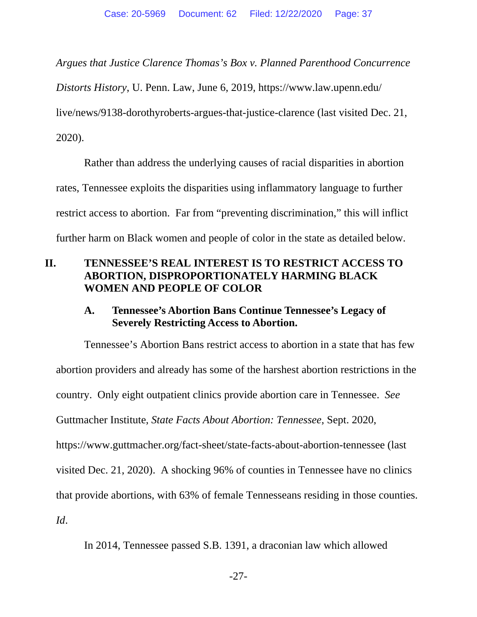*Argues that Justice Clarence Thomas's Box v. Planned Parenthood Concurrence* 

*Distorts History*, U. Penn. Law, June 6, 2019, https://www.law.upenn.edu/

live/news/9138-dorothyroberts-argues-that-justice-clarence (last visited Dec. 21,

2020).

Rather than address the underlying causes of racial disparities in abortion rates, Tennessee exploits the disparities using inflammatory language to further restrict access to abortion. Far from "preventing discrimination," this will inflict further harm on Black women and people of color in the state as detailed below.

## **II. TENNESSEE'S REAL INTEREST IS TO RESTRICT ACCESS TO ABORTION, DISPROPORTIONATELY HARMING BLACK WOMEN AND PEOPLE OF COLOR**

## **A. Tennessee's Abortion Bans Continue Tennessee's Legacy of Severely Restricting Access to Abortion.**

Tennessee's Abortion Bans restrict access to abortion in a state that has few abortion providers and already has some of the harshest abortion restrictions in the country. Only eight outpatient clinics provide abortion care in Tennessee. *See* Guttmacher Institute, *State Facts About Abortion: Tennessee*, Sept. 2020, https://www.guttmacher.org/fact-sheet/state-facts-about-abortion-tennessee (last visited Dec. 21, 2020). A shocking 96% of counties in Tennessee have no clinics that provide abortions, with 63% of female Tennesseans residing in those counties. *Id*.

In 2014, Tennessee passed S.B. 1391, a draconian law which allowed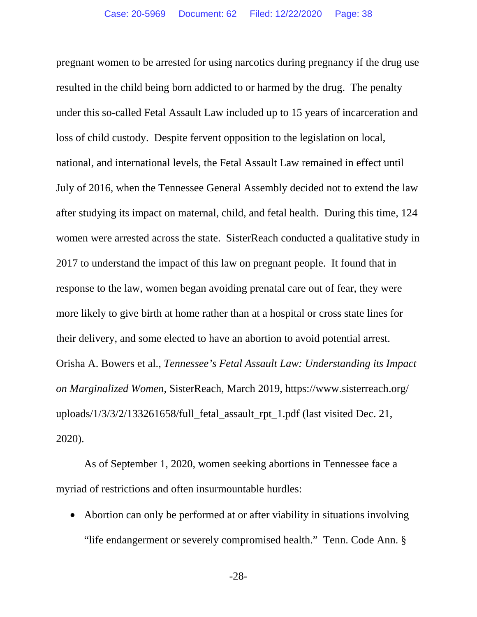pregnant women to be arrested for using narcotics during pregnancy if the drug use resulted in the child being born addicted to or harmed by the drug. The penalty under this so-called Fetal Assault Law included up to 15 years of incarceration and loss of child custody. Despite fervent opposition to the legislation on local, national, and international levels, the Fetal Assault Law remained in effect until July of 2016, when the Tennessee General Assembly decided not to extend the law after studying its impact on maternal, child, and fetal health. During this time, 124 women were arrested across the state. SisterReach conducted a qualitative study in 2017 to understand the impact of this law on pregnant people. It found that in response to the law, women began avoiding prenatal care out of fear, they were more likely to give birth at home rather than at a hospital or cross state lines for their delivery, and some elected to have an abortion to avoid potential arrest. Orisha A. Bowers et al., *Tennessee's Fetal Assault Law: Understanding its Impact on Marginalized Women*, SisterReach, March 2019, https://www.sisterreach.org/ uploads/1/3/3/2/133261658/full\_fetal\_assault\_rpt\_1.pdf (last visited Dec. 21, 2020).

As of September 1, 2020, women seeking abortions in Tennessee face a myriad of restrictions and often insurmountable hurdles:

• Abortion can only be performed at or after viability in situations involving "life endangerment or severely compromised health." Tenn. Code Ann. §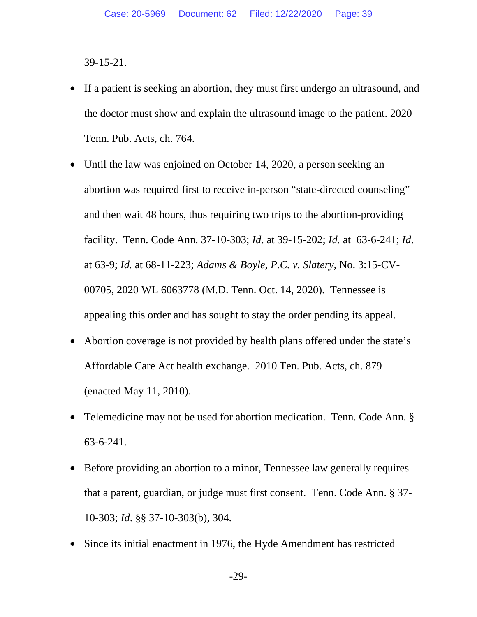39-15-21.

- If a patient is seeking an abortion, they must first undergo an ultrasound, and the doctor must show and explain the ultrasound image to the patient. 2020 Tenn. Pub. Acts, ch. 764.
- Until the law was enjoined on October 14, 2020, a person seeking an abortion was required first to receive in-person "state-directed counseling" and then wait 48 hours, thus requiring two trips to the abortion-providing facility. Tenn. Code Ann. 37-10-303; *Id*. at 39-15-202; *Id.* at 63-6-241; *Id*. at 63-9; *Id.* at 68-11-223; *Adams & Boyle, P.C. v. Slatery*, No. 3:15-CV-00705, 2020 WL 6063778 (M.D. Tenn. Oct. 14, 2020). Tennessee is appealing this order and has sought to stay the order pending its appeal*.*
- Abortion coverage is not provided by health plans offered under the state's Affordable Care Act health exchange. 2010 Ten. Pub. Acts, ch. 879 (enacted May 11, 2010).
- Telemedicine may not be used for abortion medication. Tenn. Code Ann. § 63-6-241.
- Before providing an abortion to a minor, Tennessee law generally requires that a parent, guardian, or judge must first consent. Tenn. Code Ann. § 37- 10-303; *Id*. §§ 37-10-303(b), 304.
- Since its initial enactment in 1976, the Hyde Amendment has restricted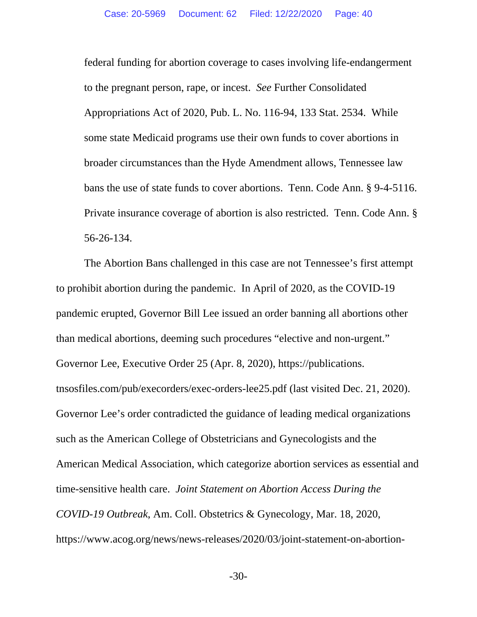federal funding for abortion coverage to cases involving life-endangerment to the pregnant person, rape, or incest. *See* Further Consolidated Appropriations Act of 2020, Pub. L. No. 116-94, 133 Stat. 2534. While some state Medicaid programs use their own funds to cover abortions in broader circumstances than the Hyde Amendment allows, Tennessee law bans the use of state funds to cover abortions. Tenn. Code Ann. § 9-4-5116. Private insurance coverage of abortion is also restricted. Tenn. Code Ann. § 56-26-134.

The Abortion Bans challenged in this case are not Tennessee's first attempt to prohibit abortion during the pandemic. In April of 2020, as the COVID-19 pandemic erupted, Governor Bill Lee issued an order banning all abortions other than medical abortions, deeming such procedures "elective and non-urgent." Governor Lee, Executive Order 25 (Apr. 8, 2020), https://publications. tnsosfiles.com/pub/execorders/exec-orders-lee25.pdf (last visited Dec. 21, 2020). Governor Lee's order contradicted the guidance of leading medical organizations such as the American College of Obstetricians and Gynecologists and the American Medical Association, which categorize abortion services as essential and time-sensitive health care. *Joint Statement on Abortion Access During the COVID-19 Outbreak*, Am. Coll. Obstetrics & Gynecology, Mar. 18, 2020, https://www.acog.org/news/news-releases/2020/03/joint-statement-on-abortion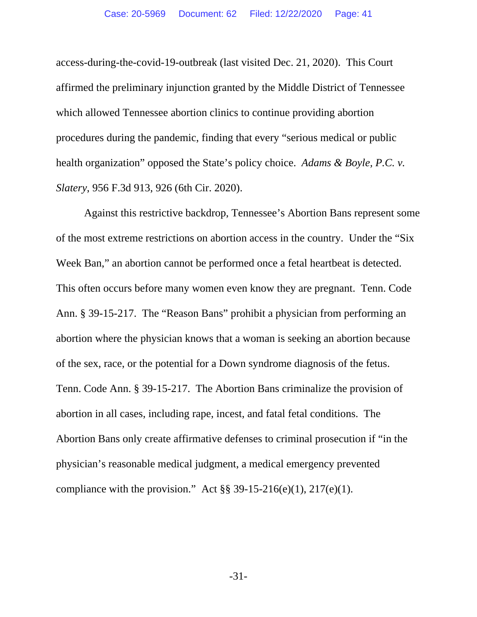access-during-the-covid-19-outbreak (last visited Dec. 21, 2020). This Court affirmed the preliminary injunction granted by the Middle District of Tennessee which allowed Tennessee abortion clinics to continue providing abortion procedures during the pandemic, finding that every "serious medical or public health organization" opposed the State's policy choice. *Adams & Boyle, P.C. v. Slatery*, 956 F.3d 913, 926 (6th Cir. 2020).

Against this restrictive backdrop, Tennessee's Abortion Bans represent some of the most extreme restrictions on abortion access in the country. Under the "Six Week Ban," an abortion cannot be performed once a fetal heartbeat is detected. This often occurs before many women even know they are pregnant. Tenn. Code Ann. § 39-15-217. The "Reason Bans" prohibit a physician from performing an abortion where the physician knows that a woman is seeking an abortion because of the sex, race, or the potential for a Down syndrome diagnosis of the fetus. Tenn. Code Ann. § 39-15-217. The Abortion Bans criminalize the provision of abortion in all cases, including rape, incest, and fatal fetal conditions. The Abortion Bans only create affirmative defenses to criminal prosecution if "in the physician's reasonable medical judgment, a medical emergency prevented compliance with the provision." Act  $\S$ § 39-15-216(e)(1), 217(e)(1).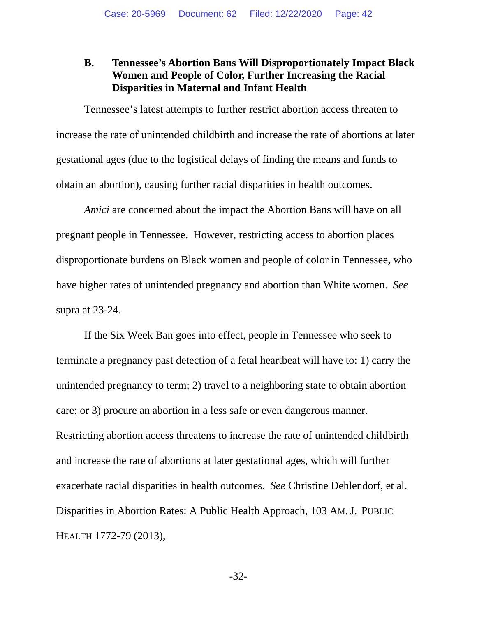### **B. Tennessee's Abortion Bans Will Disproportionately Impact Black Women and People of Color, Further Increasing the Racial Disparities in Maternal and Infant Health**

Tennessee's latest attempts to further restrict abortion access threaten to increase the rate of unintended childbirth and increase the rate of abortions at later gestational ages (due to the logistical delays of finding the means and funds to obtain an abortion), causing further racial disparities in health outcomes.

*Amici* are concerned about the impact the Abortion Bans will have on all pregnant people in Tennessee. However, restricting access to abortion places disproportionate burdens on Black women and people of color in Tennessee, who have higher rates of unintended pregnancy and abortion than White women. *See* supra at 23-24.

If the Six Week Ban goes into effect, people in Tennessee who seek to terminate a pregnancy past detection of a fetal heartbeat will have to: 1) carry the unintended pregnancy to term; 2) travel to a neighboring state to obtain abortion care; or 3) procure an abortion in a less safe or even dangerous manner. Restricting abortion access threatens to increase the rate of unintended childbirth and increase the rate of abortions at later gestational ages, which will further exacerbate racial disparities in health outcomes. *See* Christine Dehlendorf, et al. Disparities in Abortion Rates: A Public Health Approach, 103 AM. J. PUBLIC HEALTH 1772-79 (2013),

-32-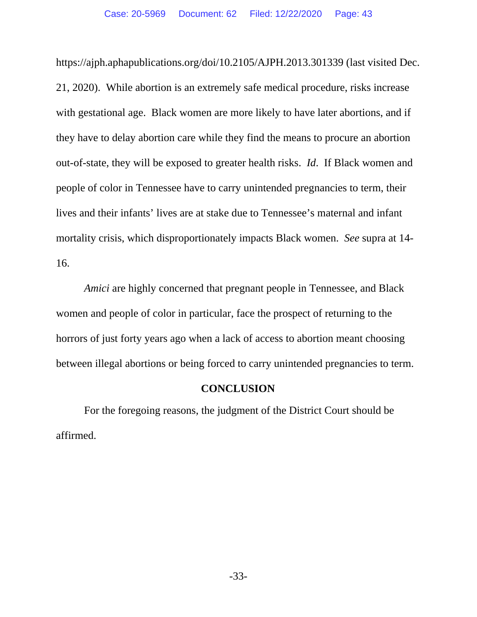https://ajph.aphapublications.org/doi/10.2105/AJPH.2013.301339 (last visited Dec. 21, 2020). While abortion is an extremely safe medical procedure, risks increase with gestational age. Black women are more likely to have later abortions, and if they have to delay abortion care while they find the means to procure an abortion out-of-state, they will be exposed to greater health risks. *Id*. If Black women and people of color in Tennessee have to carry unintended pregnancies to term, their lives and their infants' lives are at stake due to Tennessee's maternal and infant mortality crisis, which disproportionately impacts Black women. *See* supra at 14- 16.

*Amici* are highly concerned that pregnant people in Tennessee, and Black women and people of color in particular, face the prospect of returning to the horrors of just forty years ago when a lack of access to abortion meant choosing between illegal abortions or being forced to carry unintended pregnancies to term.

#### **CONCLUSION**

For the foregoing reasons, the judgment of the District Court should be affirmed.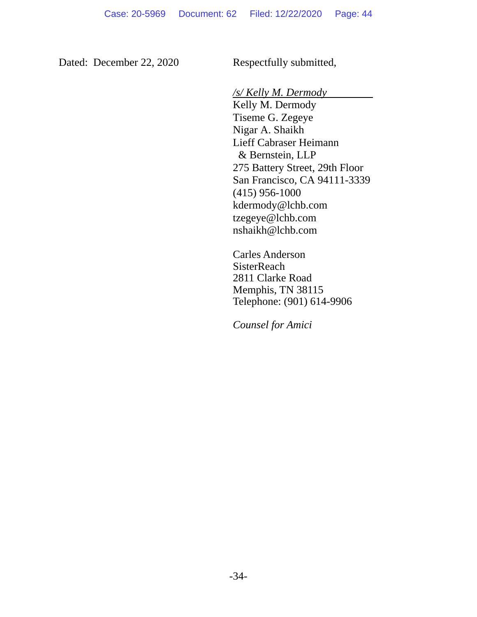Dated: December 22, 2020 Respectfully submitted,

*/s/ Kelly M. Dermody*

Kelly M. Dermody Tiseme G. Zegeye Nigar A. Shaikh Lieff Cabraser Heimann & Bernstein, LLP 275 Battery Street, 29th Floor San Francisco, CA 94111-3339 (415) 956-1000 kdermody@lchb.com tzegeye@lchb.com nshaikh@lchb.com

 Carles Anderson **SisterReach** 2811 Clarke Road Memphis, TN 38115 Telephone: (901) 614-9906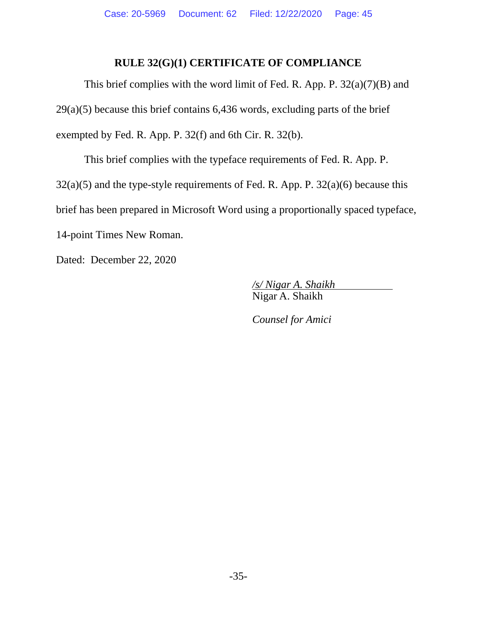## **RULE 32(G)(1) CERTIFICATE OF COMPLIANCE**

This brief complies with the word limit of Fed. R. App. P. 32(a)(7)(B) and 29(a)(5) because this brief contains 6,436 words, excluding parts of the brief exempted by Fed. R. App. P. 32(f) and 6th Cir. R. 32(b).

This brief complies with the typeface requirements of Fed. R. App. P.  $32(a)(5)$  and the type-style requirements of Fed. R. App. P.  $32(a)(6)$  because this brief has been prepared in Microsoft Word using a proportionally spaced typeface, 14-point Times New Roman.

Dated: December 22, 2020

*/s/ Nigar A. Shaikh* Nigar A. Shaikh